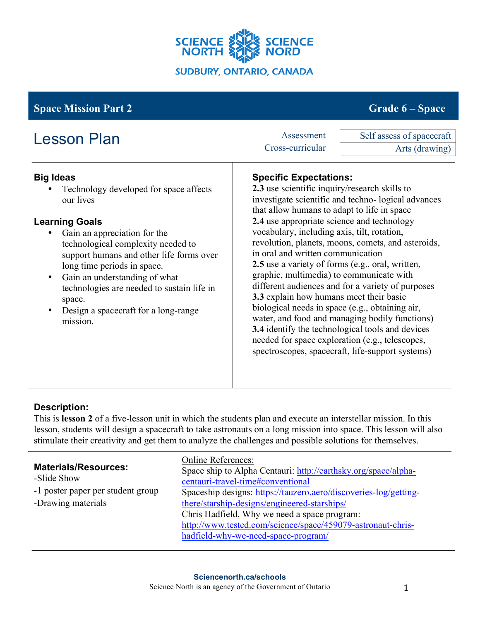

# **Space Mission Part 2** Grade **6** – **Space** Grade **6** – **Space**

| <b>Lesson Plan</b>                                                                                                                                                                                                                                                                                                                                                                             | Assessment                                                                                                                                                                                                                                                                                                                                                                                                                                                                                                       | Self assess of spacecraft                                                                                                                                                                                                                                                                                               |
|------------------------------------------------------------------------------------------------------------------------------------------------------------------------------------------------------------------------------------------------------------------------------------------------------------------------------------------------------------------------------------------------|------------------------------------------------------------------------------------------------------------------------------------------------------------------------------------------------------------------------------------------------------------------------------------------------------------------------------------------------------------------------------------------------------------------------------------------------------------------------------------------------------------------|-------------------------------------------------------------------------------------------------------------------------------------------------------------------------------------------------------------------------------------------------------------------------------------------------------------------------|
|                                                                                                                                                                                                                                                                                                                                                                                                | Cross-curricular                                                                                                                                                                                                                                                                                                                                                                                                                                                                                                 | Arts (drawing)                                                                                                                                                                                                                                                                                                          |
| <b>Big Ideas</b><br>Technology developed for space affects<br>our lives<br><b>Learning Goals</b><br>Gain an appreciation for the<br>technological complexity needed to<br>support humans and other life forms over<br>long time periods in space.<br>Gain an understanding of what<br>technologies are needed to sustain life in<br>space.<br>Design a spacecraft for a long-range<br>mission. | <b>Specific Expectations:</b><br>2.3 use scientific inquiry/research skills to<br>that allow humans to adapt to life in space<br>2.4 use appropriate science and technology<br>vocabulary, including axis, tilt, rotation,<br>in oral and written communication<br>2.5 use a variety of forms (e.g., oral, written,<br>graphic, multimedia) to communicate with<br>3.3 explain how humans meet their basic<br>biological needs in space (e.g., obtaining air,<br>needed for space exploration (e.g., telescopes, | investigate scientific and techno-logical advances<br>revolution, planets, moons, comets, and asteroids,<br>different audiences and for a variety of purposes<br>water, and food and managing bodily functions)<br>3.4 identify the technological tools and devices<br>spectroscopes, spacecraft, life-support systems) |

## **Description:**

This is **lesson 2** of a five-lesson unit in which the students plan and execute an interstellar mission. In this lesson, students will design a spacecraft to take astronauts on a long mission into space. This lesson will also stimulate their creativity and get them to analyze the challenges and possible solutions for themselves.

|                                            | <b>Online References:</b>                                        |
|--------------------------------------------|------------------------------------------------------------------|
| <b>Materials/Resources:</b><br>-Slide Show | Space ship to Alpha Centauri: http://earthsky.org/space/alpha-   |
|                                            | centauri-travel-time#conventional                                |
| -1 poster paper per student group          | Spaceship designs: https://tauzero.aero/discoveries-log/getting- |
| -Drawing materials                         | there/starship-designs/engineered-starships/                     |
|                                            | Chris Hadfield, Why we need a space program:                     |
|                                            | http://www.tested.com/science/space/459079-astronaut-chris-      |
|                                            | hadfield-why-we-need-space-program/                              |
|                                            |                                                                  |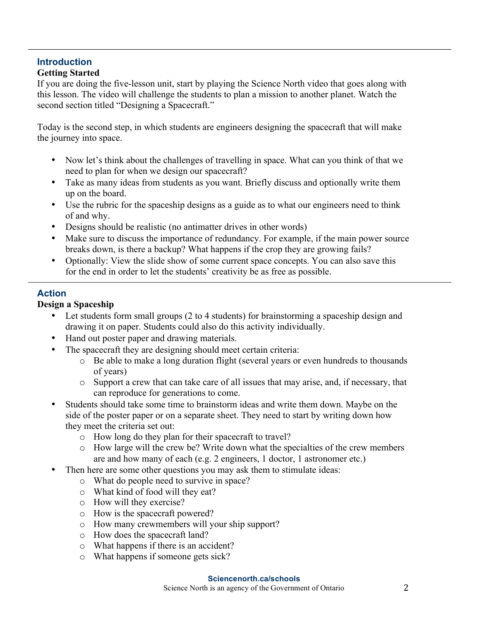# **Introduction**

### **Getting Started**

If you are doing the five-lesson unit, start by playing the Science North video that goes along with this lesson. The video will challenge the students to plan a mission to another planet. Watch the second section titled "Designing a Spacecraft."

Today is the second step, in which students are engineers designing the spacecraft that will make the journey into space.

- Now let's think about the challenges of travelling in space. What can you think of that we need to plan for when we design our spacecraft?
- Take as many ideas from students as you want. Briefly discuss and optionally write them up on the board.
- Use the rubric for the spaceship designs as a guide as to what our engineers need to think of and why.
- Designs should be realistic (no antimatter drives in other words)
- Make sure to discuss the importance of redundancy. For example, if the main power source breaks down, is there a backup? What happens if the crop they are growing fails?
- Optionally: View the slide show of some current space concepts. You can also save this for the end in order to let the students' creativity be as free as possible.

# **Action**

## **Design a Spaceship**

- Let students form small groups (2 to 4 students) for brainstorming a spaceship design and drawing it on paper. Students could also do this activity individually.
- Hand out poster paper and drawing materials.
- The spacecraft they are designing should meet certain criteria:
	- o Be able to make a long duration flight (several years or even hundreds to thousands of years)
	- o Support a crew that can take care of all issues that may arise, and, if necessary, that can reproduce for generations to come.
- Students should take some time to brainstorm ideas and write them down. Maybe on the side of the poster paper or on a separate sheet. They need to start by writing down how they meet the criteria set out:
	- o How long do they plan for their spacecraft to travel?
	- o How large will the crew be? Write down what the specialties of the crew members are and how many of each (e.g. 2 engineers, 1 doctor, 1 astronomer etc.)
- Then here are some other questions you may ask them to stimulate ideas:
	- o What do people need to survive in space?
	- o What kind of food will they eat?
	- o How will they exercise?
	- o How is the spacecraft powered?
	- o How many crewmembers will your ship support?
	- o How does the spacecraft land?
	- o What happens if there is an accident?
	- o What happens if someone gets sick?